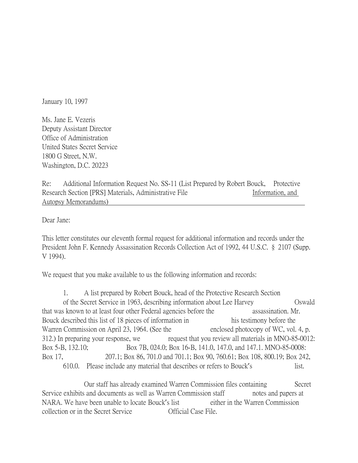January 10, 1997

Ms. Jane E. Vezeris Deputy Assistant Director Office of Administration United States Secret Service 1800 G Street, N.W. Washington, D.C. 20223

Re: Additional Information Request No. SS-11 (List Prepared by Robert Bouck, Protective Research Section [PRS] Materials, Administrative File Information, and Autopsy Memorandums)

Dear Jane:

This letter constitutes our eleventh formal request for additional information and records under the President John F. Kennedy Assassination Records Collection Act of 1992, 44 U.S.C. § 2107 (Supp. V 1994).

We request that you make available to us the following information and records:

1. A list prepared by Robert Bouck, head of the Protective Research Section of the Secret Service in 1963, describing information about Lee Harvey Oswald that was known to at least four other Federal agencies before the assassination. Mr. Bouck described this list of 18 pieces of information in his testimony before the Warren Commission on April 23, 1964. (See the enclosed photocopy of WC, vol. 4, p. 312.) In preparing your response, we request that you review all materials in MNO-85-0012: Box 5-B, 132.10; Box 7B, 024.0; Box 16-B, 141.0, 147.0, and 147.1. MNO-85-0008: Box 17, 207.1; Box 86, 701.0 and 701.1; Box 90, 760.61; Box 108, 800.19; Box 242, 610.0. Please include any material that describes or refers to Bouck's list.

Our staff has already examined Warren Commission files containing Secret Service exhibits and documents as well as Warren Commission staff notes and papers at NARA. We have been unable to locate Bouck's list either in the Warren Commission collection or in the Secret Service Official Case File.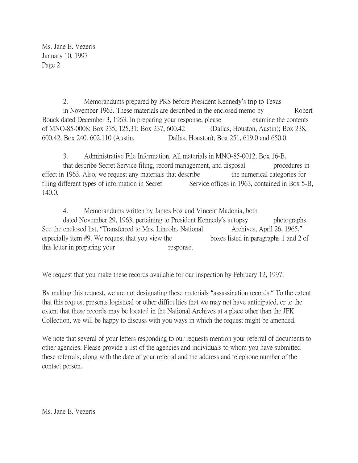Ms. Jane E. Vezeris January 10, 1997 Page 2

2. Memorandums prepared by PRS before President Kennedy's trip to Texas in November 1963. These materials are described in the enclosed memo by Robert Bouck dated December 3, 1963. In preparing your response, please examine the contents of MNO-85-0008: Box 235, 125.31; Box 237, 600.42 (Dallas, Houston, Austin); Box 238, 600.42, Box 240. 602.110 (Austin, Dallas, Houston); Box 251, 619.0 and 650.0.

3. Administrative File Information. All materials in MNO-85-0012, Box 16-B, that describe Secret Service filing, record management, and disposal procedures in effect in 1963. Also, we request any materials that describe the numerical categories for filing different types of information in Secret Service offices in 1963, contained in Box 5-B, 140.0.

4. Memorandums written by James Fox and Vincent Madonia, both

dated November 29, 1963, pertaining to President Kennedy's autopsy photographs. See the enclosed list, "Transferred to Mrs. Lincoln, National Archives, April 26, 1965," especially item #9. We request that you view the boxes listed in paragraphs 1 and 2 of this letter in preparing your response.

We request that you make these records available for our inspection by February 12, 1997.

By making this request, we are not designating these materials "assassination records." To the extent that this request presents logistical or other difficulties that we may not have anticipated, or to the extent that these records may be located in the National Archives at a place other than the JFK Collection, we will be happy to discuss with you ways in which the request might be amended.

We note that several of your letters responding to our requests mention your referral of documents to other agencies. Please provide a list of the agencies and individuals to whom you have submitted these referrals, along with the date of your referral and the address and telephone number of the contact person.

Ms. Jane E. Vezeris